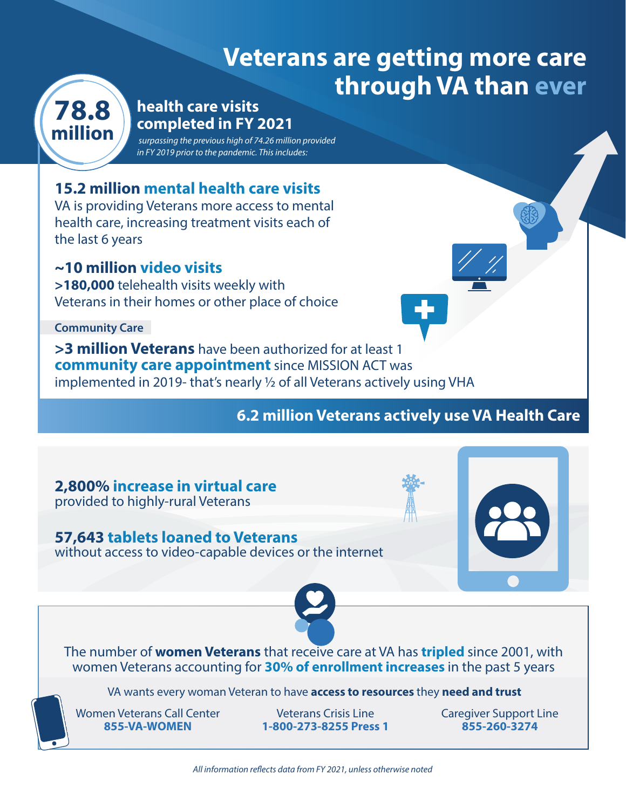# **Veterans are getting more care through VA than ever**



## **78.8 health care visits completed in FY 2021**

 *surpassing the previous high of 74.26 million provided in FY 2019 prior to the pandemic. This includes:*

# **15.2 million mental health care visits**

VA is providing Veterans more access to mental health care, increasing treatment visits each of the last 6 years

## **~10 million video visits**

**>180,000** telehealth visits weekly with Veterans in their homes or other place of choice

**Community Care**

**>3 million Veterans** have been authorized for at least 1 **community care appointment** since MISSION ACT was implemented in 2019- that's nearly 1/2 of all Veterans actively using VHA

# **6.2 million Veterans actively use VA Health Care**

#### **2,800% increase in virtual care** provided to highly-rural Veterans

### **57,643 tablets loaned to Veterans**

without access to video-capable devices or the internet





#### The number of **women Veterans** that receive care at VA has **tripled** since 2001, with women Veterans accounting for **30% of enrollment increases** in the past 5 years

VA wants every woman Veteran to have **access to resources** they **need and trust** 

Women Veterans Call Center **855-VA-WOMEN**

Veterans Crisis Line **1-800-273-8255 Press 1** Caregiver Support Line **855-260-3274**